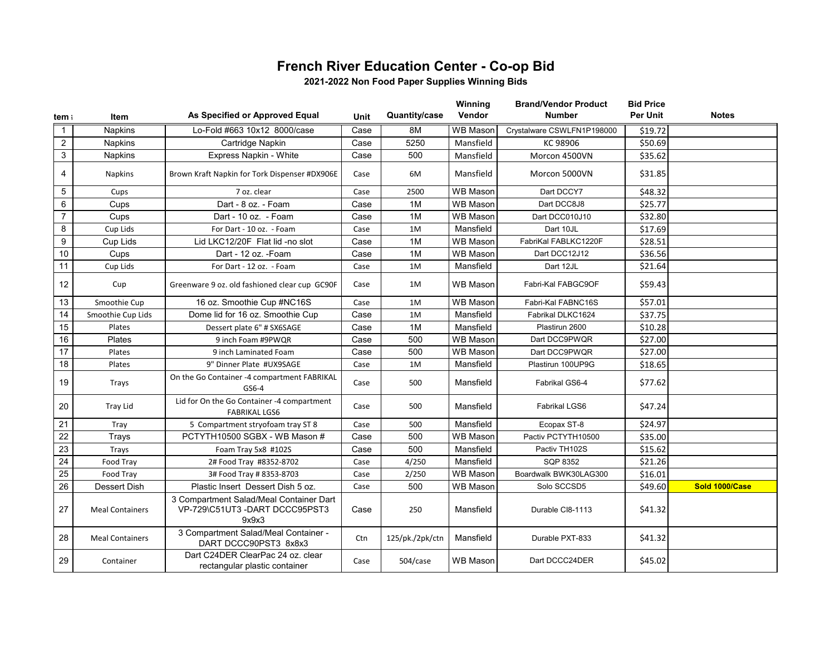## **French River Education Center - Co-op Bid**

**2021-2022 Non Food Paper Supplies Winning Bids**

| tem ।           | Item                   | As Specified or Approved Equal                                                    | Unit | Quantity/case   | Winning<br>Vendor | <b>Brand/Vendor Product</b><br><b>Number</b> | <b>Bid Price</b><br><b>Per Unit</b> | <b>Notes</b>   |
|-----------------|------------------------|-----------------------------------------------------------------------------------|------|-----------------|-------------------|----------------------------------------------|-------------------------------------|----------------|
| $\mathbf{1}$    | <b>Napkins</b>         | Lo-Fold #663 10x12 8000/case                                                      | Case | 8M              | <b>WB Mason</b>   | Crystalware CSWLFN1P198000                   | \$19.72                             |                |
| $\overline{2}$  | <b>Napkins</b>         | Cartridge Napkin                                                                  | Case | 5250            | Mansfield         | KC 98906                                     | \$50.69                             |                |
| 3               | <b>Napkins</b>         | Express Napkin - White                                                            | Case | 500             | Mansfield         | Morcon 4500VN                                | \$35.62                             |                |
| $\overline{4}$  | <b>Napkins</b>         | Brown Kraft Napkin for Tork Dispenser #DX906E                                     | Case | 6M              | Mansfield         | Morcon 5000VN                                | \$31.85                             |                |
| 5               | Cups                   | 7 oz. clear                                                                       | Case | 2500            | <b>WB Mason</b>   | Dart DCCY7                                   | \$48.32                             |                |
| 6               | Cups                   | Dart - 8 oz. - Foam                                                               | Case | 1M              | <b>WB Mason</b>   | Dart DCC8J8                                  | \$25.77                             |                |
| $\overline{7}$  | Cups                   | Dart - 10 oz. - Foam                                                              | Case | 1M              | <b>WB Mason</b>   | Dart DCC010J10                               | \$32.80                             |                |
| 8               | Cup Lids               | For Dart - 10 oz. - Foam                                                          | Case | 1M              | Mansfield         | Dart 10JL                                    | \$17.69                             |                |
| 9               | Cup Lids               | Lid LKC12/20F Flat lid -no slot                                                   | Case | 1M              | WB Mason          | FabriKal FABLKC1220F                         | \$28.51                             |                |
| 10              | Cups                   | Dart - 12 oz. - Foam                                                              | Case | 1M              | WB Mason          | Dart DCC12J12                                | \$36.56                             |                |
| 11              | Cup Lids               | For Dart - 12 oz. - Foam                                                          | Case | 1M              | Mansfield         | Dart 12JL                                    | \$21.64                             |                |
| 12              | Cup                    | Greenware 9 oz. old fashioned clear cup GC90F                                     | Case | 1M              | <b>WB Mason</b>   | Fabri-Kal FABGC9OF                           | \$59.43                             |                |
| 13              | Smoothie Cup           | 16 oz. Smoothie Cup #NC16S                                                        | Case | 1M              | <b>WB Mason</b>   | Fabri-Kal FABNC16S                           | \$57.01                             |                |
| 14              | Smoothie Cup Lids      | Dome lid for 16 oz. Smoothie Cup                                                  | Case | 1M              | Mansfield         | Fabrikal DLKC1624                            | \$37.75                             |                |
| 15              | Plates                 | Dessert plate 6" # SX6SAGE                                                        | Case | 1M              | Mansfield         | Plastirun 2600                               | \$10.28                             |                |
| 16              | Plates                 | 9 inch Foam #9PWQR                                                                | Case | 500             | <b>WB Mason</b>   | Dart DCC9PWQR                                | \$27.00                             |                |
| 17              | Plates                 | 9 inch Laminated Foam                                                             | Case | 500             | <b>WB Mason</b>   | Dart DCC9PWQR                                | \$27.00                             |                |
| 18              | Plates                 | 9" Dinner Plate #UX9SAGE                                                          | Case | 1M              | Mansfield         | Plastirun 100UP9G                            | \$18.65                             |                |
| 19              | Trays                  | On the Go Container -4 compartment FABRIKAL<br>GS6-4                              | Case | 500             | Mansfield         | Fabrikal GS6-4                               | \$77.62                             |                |
| 20              | Tray Lid               | Lid for On the Go Container -4 compartment<br><b>FABRIKAL LGS6</b>                | Case | 500             | Mansfield         | Fabrikal LGS6                                | \$47.24                             |                |
| 21              | Tray                   | 5 Compartment stryofoam tray ST 8                                                 | Case | 500             | Mansfield         | Ecopax ST-8                                  | \$24.97                             |                |
| $\overline{22}$ | Trays                  | PCTYTH10500 SGBX - WB Mason #                                                     | Case | 500             | <b>WB Mason</b>   | Pactiv PCTYTH10500                           | \$35.00                             |                |
| 23              | Trays                  | Foam Tray 5x8 #102S                                                               | Case | 500             | Mansfield         | Pactiv TH102S                                | \$15.62                             |                |
| 24              | Food Tray              | 2# Food Tray #8352-8702                                                           | Case | 4/250           | Mansfield         | SQP 8352                                     | \$21.26                             |                |
| 25              | Food Tray              | 3# Food Tray # 8353-8703                                                          | Case | 2/250           | <b>WB Mason</b>   | Boardwalk BWK30LAG300                        | \$16.01                             |                |
| 26              | Dessert Dish           | Plastic Insert Dessert Dish 5 oz.                                                 | Case | 500             | <b>WB Mason</b>   | Solo SCCSD5                                  | \$49.60                             | Sold 1000/Case |
| 27              | <b>Meal Containers</b> | 3 Compartment Salad/Meal Container Dart<br>VP-729\C51UT3-DART DCCC95PST3<br>9x9x3 | Case | 250             | Mansfield         | Durable CI8-1113                             | \$41.32                             |                |
| 28              | <b>Meal Containers</b> | 3 Compartment Salad/Meal Container -<br>DART DCCC90PST3 8x8x3                     | Ctn  | 125/pk./2pk/ctn | Mansfield         | Durable PXT-833                              | \$41.32                             |                |
| 29              | Container              | Dart C24DER ClearPac 24 oz. clear<br>rectangular plastic container                | Case | 504/case        | <b>WB Mason</b>   | Dart DCCC24DER                               | \$45.02                             |                |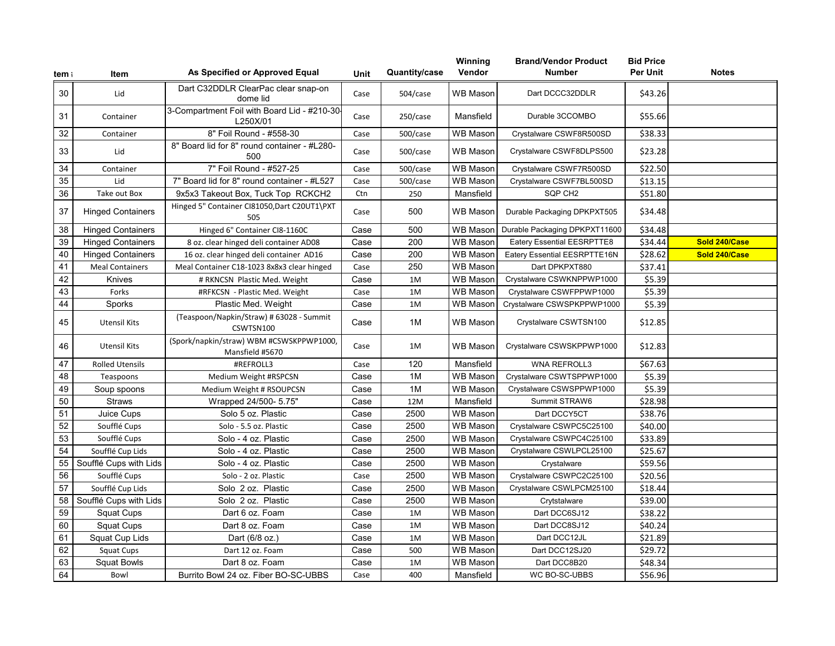| tem ।           | Item                     | As Specified or Approved Equal                              | <b>Unit</b> | Quantity/case | Winning<br>Vendor | <b>Brand/Vendor Product</b><br><b>Number</b> | <b>Bid Price</b><br>Per Unit | <b>Notes</b>  |
|-----------------|--------------------------|-------------------------------------------------------------|-------------|---------------|-------------------|----------------------------------------------|------------------------------|---------------|
| 30              | Lid                      | Dart C32DDLR ClearPac clear snap-on<br>dome lid             | Case        | 504/case      | <b>WB Mason</b>   | Dart DCCC32DDLR                              | \$43.26                      |               |
| 31              | Container                | 3-Compartment Foil with Board Lid - #210-30-<br>L250X/01    | Case        | 250/case      | Mansfield         | Durable 3CCOMBO                              | \$55.66                      |               |
| 32              | Container                | 8" Foil Round - #558-30                                     | Case        | 500/case      | <b>WB Mason</b>   | Crystalware CSWF8R500SD                      | \$38.33                      |               |
| 33              | Lid                      | 8" Board lid for 8" round container - #L280-<br>500         | Case        | 500/case      | <b>WB Mason</b>   | Crystalware CSWF8DLPS500                     | \$23.28                      |               |
| 34              | Container                | 7" Foil Round - #527-25                                     | Case        | 500/case      | <b>WB Mason</b>   | Crystalware CSWF7R500SD                      | \$22.50                      |               |
| 35              | Lid                      | 7" Board lid for 8" round container - #L527                 | Case        | 500/case      | <b>WB Mason</b>   | Crystalware CSWF7BL500SD                     | \$13.15                      |               |
| 36              | Take out Box             | 9x5x3 Takeout Box, Tuck Top RCKCH2                          | Ctn         | 250           | Mansfield         | SQP CH <sub>2</sub>                          | \$51.80                      |               |
| 37              | <b>Hinged Containers</b> | Hinged 5" Container CI81050, Dart C20UT1\PXT<br>505         | Case        | 500           | <b>WB Mason</b>   | Durable Packaging DPKPXT505                  | \$34.48                      |               |
| 38              | <b>Hinged Containers</b> | Hinged 6" Container CI8-1160C                               | Case        | 500           | <b>WB Mason</b>   | Durable Packaging DPKPXT11600                | \$34.48                      |               |
| 39              | <b>Hinged Containers</b> | 8 oz. clear hinged deli container AD08                      | Case        | 200           | <b>WB Mason</b>   | Eatery Essential EESRPTTE8                   | \$34.44                      | Sold 240/Case |
| 40              | <b>Hinged Containers</b> | 16 oz. clear hinged deli container AD16                     | Case        | 200           | <b>WB Mason</b>   | Eatery Essential EESRPTTE16N                 | \$28.62                      | Sold 240/Case |
| 41              | <b>Meal Containers</b>   | Meal Container C18-1023 8x8x3 clear hinged                  | Case        | 250           | <b>WB Mason</b>   | Dart DPKPXT880                               | \$37.41                      |               |
| 42              | Knives                   | # RKNCSN Plastic Med. Weight                                | Case        | 1M            | <b>WB Mason</b>   | Crystalware CSWKNPPWP1000                    | \$5.39                       |               |
| 43              | Forks                    | #RFKCSN - Plastic Med. Weight                               | Case        | 1M            | <b>WB Mason</b>   | Crystalware CSWFPPWP1000                     | \$5.39                       |               |
| 44              | Sporks                   | Plastic Med. Weight                                         | Case        | 1M            | <b>WB Mason</b>   | Crystalware CSWSPKPPWP1000                   | \$5.39                       |               |
| 45              | <b>Utensil Kits</b>      | (Teaspoon/Napkin/Straw) # 63028 - Summit<br>CSWTSN100       | Case        | 1M            | <b>WB Mason</b>   | Crystalware CSWTSN100                        | \$12.85                      |               |
| 46              | <b>Utensil Kits</b>      | (Spork/napkin/straw) WBM #CSWSKPPWP1000,<br>Mansfield #5670 | Case        | 1M            | WB Mason          | Crystalware CSWSKPPWP1000                    | \$12.83                      |               |
| 47              | <b>Rolled Utensils</b>   | #REFROLL3                                                   | Case        | 120           | Mansfield         | WNA REFROLL3                                 | \$67.63                      |               |
| 48              | Teaspoons                | Medium Weight #RSPCSN                                       | Case        | 1M            | <b>WB Mason</b>   | Crystalware CSWTSPPWP1000                    | \$5.39                       |               |
| 49              | Soup spoons              | Medium Weight # RSOUPCSN                                    | Case        | 1M            | WB Mason          | Crystalware CSWSPPWP1000                     | \$5.39                       |               |
| 50              | <b>Straws</b>            | Wrapped 24/500- 5.75"                                       | Case        | 12M           | Mansfield         | Summit STRAW6                                | \$28.98                      |               |
| 51              | Juice Cups               | Solo 5 oz. Plastic                                          | Case        | 2500          | WB Mason          | Dart DCCY5CT                                 | \$38.76                      |               |
| 52              | Soufflé Cups             | Solo - 5.5 oz. Plastic                                      | Case        | 2500          | <b>WB Mason</b>   | Crystalware CSWPC5C25100                     | \$40.00                      |               |
| 53              | Soufflé Cups             | Solo - 4 oz. Plastic                                        | Case        | 2500          | <b>WB Mason</b>   | Crystalware CSWPC4C25100                     | \$33.89                      |               |
| 54              | Soufflé Cup Lids         | Solo - 4 oz. Plastic                                        | Case        | 2500          | <b>WB Mason</b>   | Crystalware CSWLPCL25100                     | \$25.67                      |               |
| 55              | Soufflé Cups with Lids   | Solo - 4 oz. Plastic                                        | Case        | 2500          | WB Mason          | Crystalware                                  | \$59.56                      |               |
| 56              | Soufflé Cups             | Solo - 2 oz. Plastic                                        | Case        | 2500          | WB Mason          | Crystalware CSWPC2C25100                     | \$20.56                      |               |
| $\overline{57}$ | Soufflé Cup Lids         | Solo 2 oz. Plastic                                          | Case        | 2500          | WB Mason          | Crystalware CSWLPCM25100                     | \$18.44                      |               |
| 58              | Soufflé Cups with Lids   | Solo 2 oz. Plastic                                          | Case        | 2500          | <b>WB Mason</b>   | Crytstalware                                 | \$39.00                      |               |
| 59              | <b>Squat Cups</b>        | Dart 6 oz. Foam                                             | Case        | 1M            | <b>WB Mason</b>   | Dart DCC6SJ12                                | \$38.22                      |               |
| 60              | <b>Squat Cups</b>        | Dart 8 oz. Foam                                             | Case        | 1M            | <b>WB Mason</b>   | Dart DCC8SJ12                                | \$40.24                      |               |
| 61              | Squat Cup Lids           | Dart (6/8 oz.)                                              | Case        | 1M            | <b>WB Mason</b>   | Dart DCC12JL                                 | \$21.89                      |               |
| 62              | Squat Cups               | Dart 12 oz. Foam                                            | Case        | 500           | <b>WB Mason</b>   | Dart DCC12SJ20                               | \$29.72                      |               |
| 63              | <b>Squat Bowls</b>       | Dart 8 oz. Foam                                             | Case        | 1M            | WB Mason          | Dart DCC8B20                                 | \$48.34                      |               |
| 64              | Bowl                     | Burrito Bowl 24 oz. Fiber BO-SC-UBBS                        | Case        | 400           | Mansfield         | WC BO-SC-UBBS                                | \$56.96                      |               |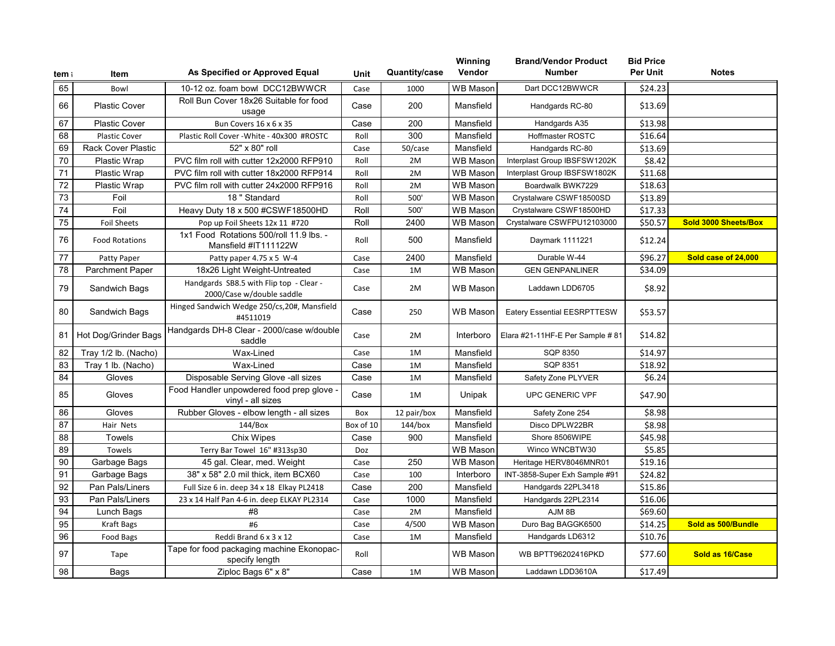| tem ।           | Item                      | As Specified or Approved Equal                                       | Unit      | Quantity/case | Winning<br>Vendor      | <b>Brand/Vendor Product</b><br><b>Number</b> | <b>Bid Price</b><br>Per Unit | <b>Notes</b>         |
|-----------------|---------------------------|----------------------------------------------------------------------|-----------|---------------|------------------------|----------------------------------------------|------------------------------|----------------------|
| 65              | Bowl                      | 10-12 oz. foam bowl DCC12BWWCR                                       | Case      | 1000          | <b>WB</b> Mason        | Dart DCC12BWWCR                              | \$24.23                      |                      |
| 66              | <b>Plastic Cover</b>      | Roll Bun Cover 18x26 Suitable for food<br>usage                      | Case      | 200           | Mansfield              | Handgards RC-80                              | \$13.69                      |                      |
| 67              | <b>Plastic Cover</b>      | Bun Covers 16 x 6 x 35                                               | Case      | 200           | Mansfield              | Handgards A35                                | \$13.98                      |                      |
| 68              | <b>Plastic Cover</b>      | Plastic Roll Cover - White - 40x300 #ROSTC                           | Roll      | 300           | Mansfield              | Hoffmaster ROSTC                             | \$16.64                      |                      |
| 69              | <b>Rack Cover Plastic</b> | 52" x 80" roll                                                       | Case      | 50/case       | Mansfield              | Handgards RC-80                              | \$13.69                      |                      |
| $\overline{70}$ | <b>Plastic Wrap</b>       | PVC film roll with cutter 12x2000 RFP910                             | Roll      | 2M            | <b>WB Mason</b>        | Interplast Group IBSFSW1202K                 | \$8.42                       |                      |
| 71              | Plastic Wrap              | PVC film roll with cutter 18x2000 RFP914                             | Roll      | 2M            | <b>WB Mason</b>        | Interplast Group IBSFSW1802K                 | \$11.68                      |                      |
| 72              | Plastic Wrap              | PVC film roll with cutter 24x2000 RFP916                             | Roll      | 2M            | $\overline{W}$ B Mason | Boardwalk BWK7229                            | \$18.63                      |                      |
| 73              | Foil                      | 18 " Standard                                                        | Roll      | 500           | <b>WB Mason</b>        | Crystalware CSWF18500SD                      | \$13.89                      |                      |
| 74              | Foil                      | Heavy Duty 18 x 500 #CSWF18500HD                                     | Roll      | 500           | <b>WB Mason</b>        | Crystalware CSWF18500HD                      | \$17.33                      |                      |
| 75              | <b>Foil Sheets</b>        | Pop up Foil Sheets 12x 11 #720                                       | Roll      | 2400          | <b>WB Mason</b>        | Crystalware CSWFPU12103000                   | \$50.57                      | Sold 3000 Sheets/Box |
| 76              | <b>Food Rotations</b>     | 1x1 Food Rotations 500/roll 11.9 lbs. -<br>Mansfield #IT111122W      | Roll      | 500           | Mansfield              | Daymark 1111221                              | \$12.24                      |                      |
| 77              | Patty Paper               | Patty paper 4.75 x 5 W-4                                             | Case      | 2400          | Mansfield              | Durable W-44                                 | \$96.27                      | Sold case of 24,000  |
| 78              | <b>Parchment Paper</b>    | 18x26 Light Weight-Untreated                                         | Case      | 1M            | <b>WB Mason</b>        | <b>GEN GENPANLINER</b>                       | \$34.09                      |                      |
| 79              | Sandwich Bags             | Handgards SB8.5 with Flip top - Clear -<br>2000/Case w/double saddle | Case      | 2M            | <b>WB Mason</b>        | Laddawn LDD6705                              | \$8.92                       |                      |
| 80              | Sandwich Bags             | Hinged Sandwich Wedge 250/cs, 20#, Mansfield<br>#4511019             | Case      | 250           | <b>WB Mason</b>        | <b>Eatery Essential EESRPTTESW</b>           | \$53.57                      |                      |
| 81              | Hot Dog/Grinder Bags      | Handgards DH-8 Clear - 2000/case w/double<br>saddle                  | Case      | 2M            | Interboro              | Elara #21-11HF-E Per Sample #81              | \$14.82                      |                      |
| 82              | Tray 1/2 lb. (Nacho)      | Wax-Lined                                                            | Case      | 1M            | Mansfield              | <b>SQP 8350</b>                              | \$14.97                      |                      |
| 83              | Tray 1 lb. (Nacho)        | Wax-Lined                                                            | Case      | 1M            | Mansfield              | SQP 8351                                     | \$18.92                      |                      |
| 84              | Gloves                    | Disposable Serving Glove -all sizes                                  | Case      | 1M            | Mansfield              | Safety Zone PLYVER                           | \$6.24                       |                      |
| 85              | Gloves                    | Food Handler unpowdered food prep glove -<br>vinyl - all sizes       | Case      | 1M            | Unipak                 | <b>UPC GENERIC VPF</b>                       | \$47.90                      |                      |
| 86              | Gloves                    | Rubber Gloves - elbow length - all sizes                             | Box       | 12 pair/box   | Mansfield              | Safety Zone 254                              | \$8.98                       |                      |
| 87              | Hair Nets                 | 144/Box                                                              | Box of 10 | 144/box       | Mansfield              | Disco DPLW22BR                               | \$8.98                       |                      |
| 88              | <b>Towels</b>             | Chix Wipes                                                           | Case      | 900           | Mansfield              | Shore 8506WIPE                               | \$45.98                      |                      |
| 89              | Towels                    | Terry Bar Towel 16" #313sp30                                         | Doz       |               | <b>WB Mason</b>        | Winco WNCBTW30                               | \$5.85                       |                      |
| 90              | Garbage Bags              | 45 gal. Clear, med. Weight                                           | Case      | 250           | <b>WB</b> Mason        | Heritage HERV8046MNR01                       | \$19.16                      |                      |
| 91              | Garbage Bags              | 38" x 58" 2.0 mil thick, item BCX60                                  | Case      | 100           | Interboro              | INT-3858-Super Exh Sample #91                | \$24.82                      |                      |
| 92              | Pan Pals/Liners           | Full Size 6 in. deep 34 x 18 Elkay PL2418                            | Case      | 200           | Mansfield              | Handgards 22PL3418                           | \$15.86                      |                      |
| 93              | Pan Pals/Liners           | 23 x 14 Half Pan 4-6 in. deep ELKAY PL2314                           | Case      | 1000          | Mansfield              | Handgards 22PL2314                           | \$16.06                      |                      |
| 94              | Lunch Bags                | #8                                                                   | Case      | 2M            | Mansfield              | AJM 8B                                       | \$69.60                      |                      |
| 95              | Kraft Bags                | #6                                                                   | Case      | 4/500         | WB Mason               | Duro Bag BAGGK6500                           | \$14.25                      | Sold as 500/Bundle   |
| 96              | <b>Food Bags</b>          | Reddi Brand 6 x 3 x 12                                               | Case      | 1M            | Mansfield              | Handgards LD6312                             | \$10.76                      |                      |
| 97              | Tape                      | Tape for food packaging machine Ekonopac-<br>specify length          | Roll      |               | <b>WB Mason</b>        | WB BPTT96202416PKD                           | \$77.60                      | Sold as 16/Case      |
| 98              | <b>Bags</b>               | Ziploc Bags 6" x 8"                                                  | Case      | 1M            | <b>WB Mason</b>        | Laddawn LDD3610A                             | \$17.49                      |                      |